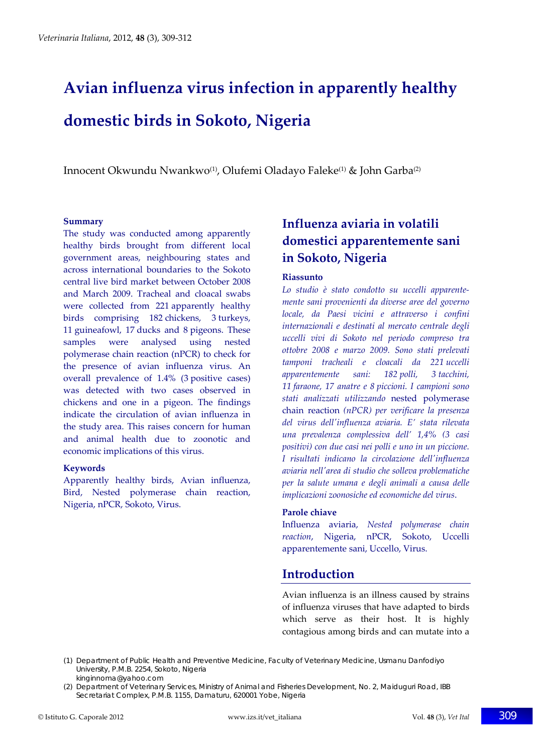# **Avian influenza virus infection in apparently healthy domestic birds in Sokoto, Nigeria**

Innocent Okwundu Nwankwo(1), Olufemi Oladayo Faleke(1) & John Garba(2)

#### **Summary**

The study was conducted among apparently healthy birds brought from different local government areas, neighbouring states and across international boundaries to the Sokoto central live bird market between October 2008 and March 2009. Tracheal and cloacal swabs were collected from 221 apparently healthy birds comprising 182 chickens, 3 turkeys, 11 guineafowl, 17 ducks and 8 pigeons. These samples were analysed using nested polymerase chain reaction (nPCR) to check for the presence of avian influenza virus. An overall prevalence of 1.4% (3 positive cases) was detected with two cases observed in chickens and one in a pigeon. The findings indicate the circulation of avian influenza in the study area. This raises concern for human and animal health due to zoonotic and economic implications of this virus.

## **Keywords**

Apparently healthy birds, Avian influenza, Bird, Nested polymerase chain reaction, Nigeria, nPCR, Sokoto, Virus.

# **Influenza aviaria in volatili domestici apparentemente sani in Sokoto, Nigeria**

## **Riassunto**

*Lo studio è stato condotto su uccelli apparente‐ mente sani provenienti da diverse aree del governo locale, da Paesi vicini e attraverso i confini internazionali e destinati al mercato centrale degli uccelli vivi di Sokoto nel periodo compreso tra ottobre 2008 e marzo 2009. Sono stati prelevati tamponi tracheali e cloacali da 221 uccelli apparentemente sani: 182 polli, 3 tacchini, 11 faraone, 17 anatre e 8 piccioni. I campioni sono stati analizzati utilizzando* nested polymerase chain reaction *(nPCR) per verificare la presenza del virus dellʹinfluenza aviaria. E' stata rilevata una prevalenza complessiva dell' 1,4% (3 casi positivi) con due casi nei polli e uno in un piccione. I risultati indicano la circolazione dellʹinfluenza aviaria nellʹarea di studio che solleva problematiche per la salute umana e degli animali a causa delle implicazioni zoonosiche ed economiche del virus*.

## **Parole chiave**

Influenza aviaria, *Nested polymerase chain reaction*, Nigeria, nPCR, Sokoto, Uccelli apparentemente sani, Uccello, Virus.

## **Introduction**

Avian influenza is an illness caused by strains of influenza viruses that have adapted to birds which serve as their host. It is highly contagious among birds and can mutate into a

(1) Department of Public Health and Preventive Medicine, Faculty of Veterinary Medicine, Usmanu Danfodiyo University, P.M.B. 2254, Sokoto, Nigeria kinginnoma@yahoo.com

(2) Department of Veterinary Services, Ministry of Animal and Fisheries Development, No. 2, Maiduguri Road, IBB Secretariat Complex, P.M.B. 1155, Damaturu, 620001 Yobe, Nigeria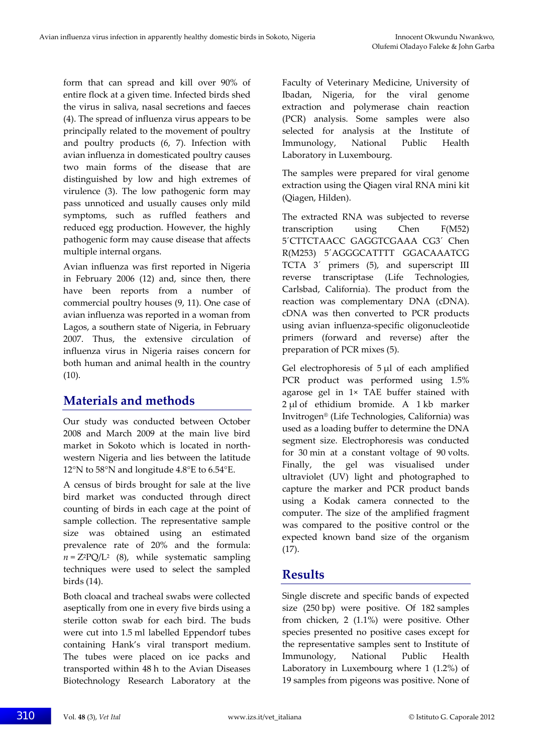form that can spread and kill over 90% of entire flock at a given time. Infected birds shed the virus in saliva, nasal secretions and faeces (4). The spread of influenza virus appears to be principally related to the movement of poultry and poultry products (6, 7). Infection with avian influenza in domesticated poultry causes two main forms of the disease that are distinguished by low and high extremes of virulence (3). The low pathogenic form may pass unnoticed and usually causes only mild symptoms, such as ruffled feathers and reduced egg production. However, the highly pathogenic form may cause disease that affects multiple internal organs.

Avian influenza was first reported in Nigeria in February 2006 (12) and, since then, there have been reports from a number of commercial poultry houses (9, 11). One case of avian influenza was reported in a woman from Lagos, a southern state of Nigeria, in February 2007. Thus, the extensive circulation of influenza virus in Nigeria raises concern for both human and animal health in the country  $(10).$ 

# **Materials and methods**

Our study was conducted between October 2008 and March 2009 at the main live bird market in Sokoto which is located in north‐ western Nigeria and lies between the latitude 12°N to 58°N and longitude 4.8°E to 6.54°E.

A census of birds brought for sale at the live bird market was conducted through direct counting of birds in each cage at the point of sample collection. The representative sample size was obtained using an estimated prevalence rate of 20% and the formula:  $n = Z<sup>2</sup>PQ/L<sup>2</sup>$  (8), while systematic sampling techniques were used to select the sampled birds (14).

Both cloacal and tracheal swabs were collected aseptically from one in every five birds using a sterile cotton swab for each bird. The buds were cut into 1.5 ml labelled Eppendorf tubes containing Hank's viral transport medium. The tubes were placed on ice packs and transported within 48 h to the Avian Diseases Biotechnology Research Laboratory at the

Faculty of Veterinary Medicine, University of Ibadan, Nigeria, for the viral genome extraction and polymerase chain reaction (PCR) analysis. Some samples were also selected for analysis at the Institute of Immunology, National Public Health Laboratory in Luxembourg.

The samples were prepared for viral genome extraction using the Qiagen viral RNA mini kit (Qiagen, Hilden).

The extracted RNA was subjected to reverse transcription using Chen F(M52) 5´CTTCTAACC GAGGTCGAAA CG3´ Chen R(M253) 5´AGGGCATTTT GGACAAATCG TCTA 3´ primers (5), and superscript III reverse transcriptase (Life Technologies, Carlsbad, California). The product from the reaction was complementary DNA (cDNA). cDNA was then converted to PCR products using avian influenza‐specific oligonucleotide primers (forward and reverse) after the preparation of PCR mixes (5).

Gel electrophoresis of 5 μl of each amplified PCR product was performed using 1.5% agarose gel in 1× TAE buffer stained with 2 μl of ethidium bromide. A 1 kb marker Invitrogen® (Life Technologies, California) was used as a loading buffer to determine the DNA segment size. Electrophoresis was conducted for 30 min at a constant voltage of 90 volts. Finally, the gel was visualised under ultraviolet (UV) light and photographed to capture the marker and PCR product bands using a Kodak camera connected to the computer. The size of the amplified fragment was compared to the positive control or the expected known band size of the organism (17).

## **Results**

Single discrete and specific bands of expected size (250 bp) were positive. Of 182 samples from chicken, 2 (1.1%) were positive. Other species presented no positive cases except for the representative samples sent to Institute of Immunology, National Public Health Laboratory in Luxembourg where 1 (1.2%) of 19 samples from pigeons was positive. None of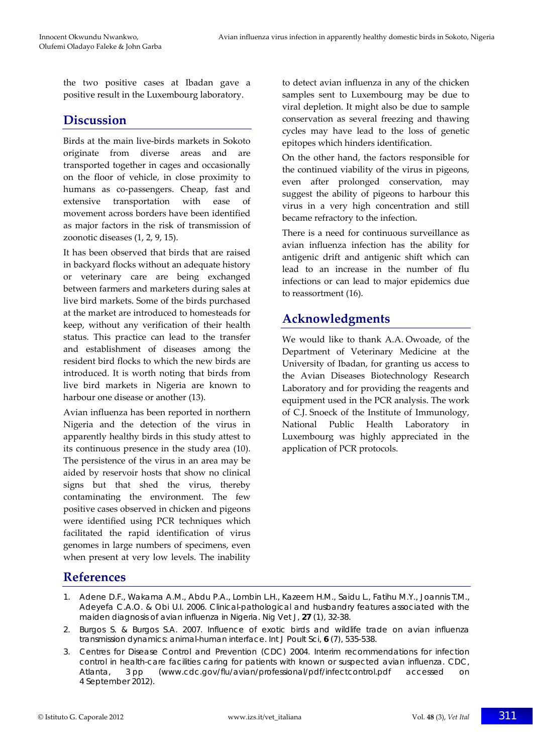the two positive cases at Ibadan gave a positive result in the Luxembourg laboratory.

## **Discussion**

Birds at the main live‐birds markets in Sokoto originate from diverse areas and are transported together in cages and occasionally on the floor of vehicle, in close proximity to humans as co-passengers. Cheap, fast and extensive transportation with ease of movement across borders have been identified as major factors in the risk of transmission of zoonotic diseases (1, 2, 9, 15).

It has been observed that birds that are raised in backyard flocks without an adequate history or veterinary care are being exchanged between farmers and marketers during sales at live bird markets. Some of the birds purchased at the market are introduced to homesteads for keep, without any verification of their health status. This practice can lead to the transfer and establishment of diseases among the resident bird flocks to which the new birds are introduced. It is worth noting that birds from live bird markets in Nigeria are known to harbour one disease or another (13).

Avian influenza has been reported in northern Nigeria and the detection of the virus in apparently healthy birds in this study attest to its continuous presence in the study area (10). The persistence of the virus in an area may be aided by reservoir hosts that show no clinical signs but that shed the virus, thereby contaminating the environment. The few positive cases observed in chicken and pigeons were identified using PCR techniques which facilitated the rapid identification of virus genomes in large numbers of specimens, even when present at very low levels. The inability

to detect avian influenza in any of the chicken samples sent to Luxembourg may be due to viral depletion. It might also be due to sample conservation as several freezing and thawing cycles may have lead to the loss of genetic epitopes which hinders identification.

On the other hand, the factors responsible for the continued viability of the virus in pigeons, even after prolonged conservation, may suggest the ability of pigeons to harbour this virus in a very high concentration and still became refractory to the infection.

There is a need for continuous surveillance as avian influenza infection has the ability for antigenic drift and antigenic shift which can lead to an increase in the number of flu infections or can lead to major epidemics due to reassortment (16).

# **Acknowledgments**

We would like to thank A.A. Owoade, of the Department of Veterinary Medicine at the University of Ibadan, for granting us access to the Avian Diseases Biotechnology Research Laboratory and for providing the reagents and equipment used in the PCR analysis. The work of C.J. Snoeck of the Institute of Immunology, National Public Health Laboratory in Luxembourg was highly appreciated in the application of PCR protocols.

# **References**

- 1. Adene D.F., Wakama A.M., Abdu P.A., Lombin L.H., Kazeem H.M., Saidu L., Fatihu M.Y., Joannis T.M., Adeyefa C.A.O. & Obi U.I. 2006. Clinical-pathological and husbandry features associated with the maiden diagnosis of avian influenza in Nigeria. *Nig Vet J*, **27** (1), 32-38.
- 2. Burgos S. & Burgos S.A. 2007. Influence of exotic birds and wildlife trade on avian influenza transmission dynamics: animal-human interface. *Int J Poult Sci*, **6** (7), 535-538.
- 3. Centres for Disease Control and Prevention (CDC) 2004. Interim recommendations for infection control in health-care facilities caring for patients with known or suspected avian influenza. CDC, Atlanta, 3 pp (www.cdc.gov/flu/avian/professional/pdf/infectcontrol.pdf accessed on 4 September 2012).